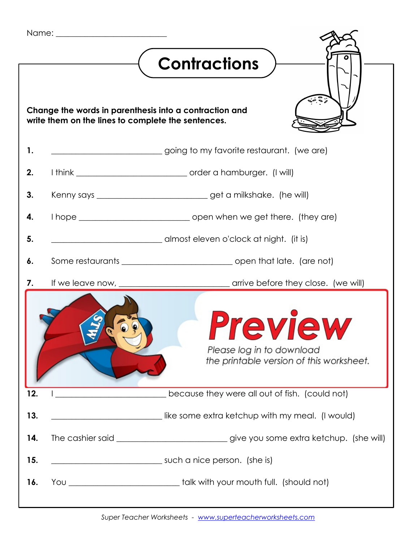|                                                                                                              |  | <b>Contractions</b>                                                                    |
|--------------------------------------------------------------------------------------------------------------|--|----------------------------------------------------------------------------------------|
| Change the words in parenthesis into a contraction and<br>write them on the lines to complete the sentences. |  |                                                                                        |
| 1.                                                                                                           |  | going to my favorite restaurant. (we are)                                              |
| 2.                                                                                                           |  |                                                                                        |
| 3.                                                                                                           |  | Kenny says ___________________________get a milkshake. (he will)                       |
| 4.                                                                                                           |  |                                                                                        |
| 5.                                                                                                           |  | almost eleven o'clock at night. (it is)                                                |
| 6.                                                                                                           |  |                                                                                        |
| 7.                                                                                                           |  |                                                                                        |
|                                                                                                              |  | FVIGW<br>Please log in to download<br>the printable version of this worksheet.         |
| 12.                                                                                                          |  | because they were all out of fish. (could not)                                         |
| 13.                                                                                                          |  | like some extra ketchup with my meal. (I would)                                        |
| 14.                                                                                                          |  | The cashier said ______________________________give you some extra ketchup. (she will) |
| 15.                                                                                                          |  | such a nice person. (she is)                                                           |
| 16.                                                                                                          |  | You ________________________________talk with your mouth full. (should not)            |